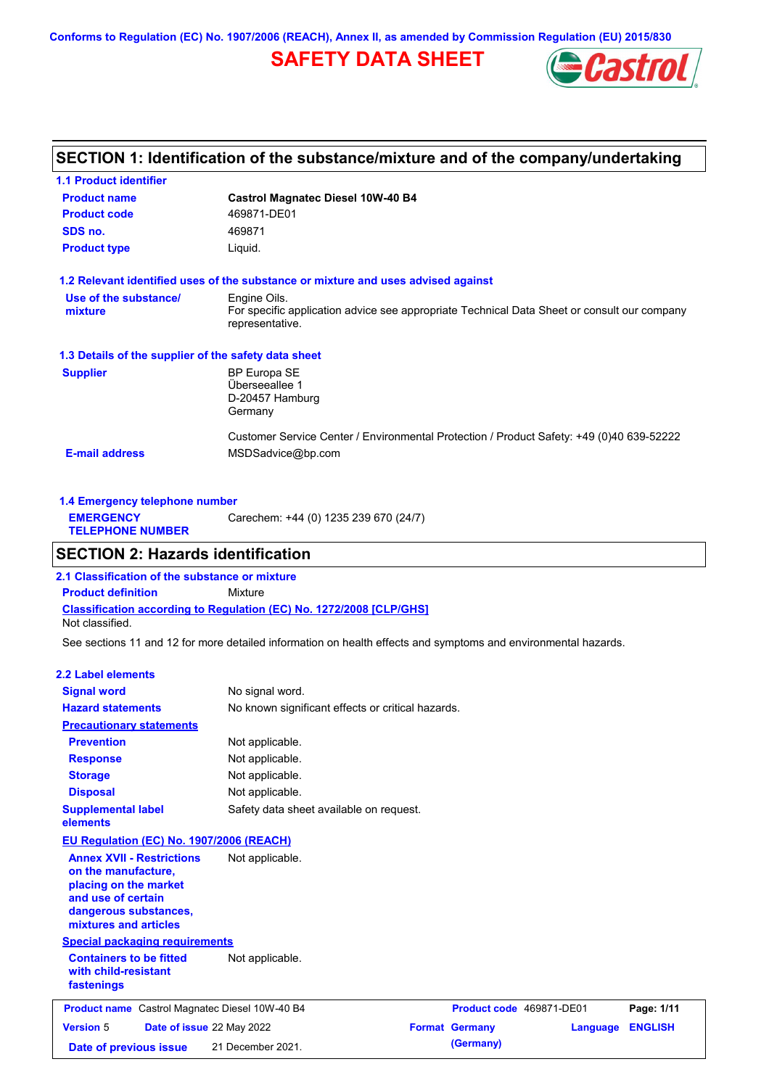**Conforms to Regulation (EC) No. 1907/2006 (REACH), Annex II, as amended by Commission Regulation (EU) 2015/830**

# **SAFETY DATA SHEET**



### **SECTION 1: Identification of the substance/mixture and of the company/undertaking**

| <b>1.1 Product identifier</b>                        |                                                                                                                |
|------------------------------------------------------|----------------------------------------------------------------------------------------------------------------|
| <b>Product name</b>                                  | <b>Castrol Magnatec Diesel 10W-40 B4</b>                                                                       |
| <b>Product code</b>                                  | 469871-DE01                                                                                                    |
| SDS no.                                              | 469871                                                                                                         |
| <b>Product type</b>                                  | Liquid.                                                                                                        |
|                                                      | 1.2 Relevant identified uses of the substance or mixture and uses advised against                              |
| Use of the substance/                                | Engine Oils.                                                                                                   |
| mixture                                              | For specific application advice see appropriate Technical Data Sheet or consult our company<br>representative. |
| 1.3 Details of the supplier of the safety data sheet |                                                                                                                |
| <b>Supplier</b>                                      | <b>BP Europa SE</b>                                                                                            |
|                                                      | Überseeallee 1                                                                                                 |
|                                                      | D-20457 Hamburg<br>Germany                                                                                     |
|                                                      | Customer Service Center / Environmental Protection / Product Safety: +49 (0)40 639-52222                       |
| <b>E-mail address</b>                                | MSDSadvice@bp.com                                                                                              |

| 1.4 Emergency telephone number              |                                       |
|---------------------------------------------|---------------------------------------|
| <b>EMERGENCY</b><br><b>TELEPHONE NUMBER</b> | Carechem: +44 (0) 1235 239 670 (24/7) |
|                                             |                                       |

### **SECTION 2: Hazards identification**

**Classification according to Regulation (EC) No. 1272/2008 [CLP/GHS] 2.1 Classification of the substance or mixture Product definition** Mixture Not classified.

See sections 11 and 12 for more detailed information on health effects and symptoms and environmental hazards.

### **2.2 Label elements**

| <b>Signal word</b><br><b>Hazard statements</b>                                                                                                           | No signal word.<br>No known significant effects or critical hazards. |                          |          |                |
|----------------------------------------------------------------------------------------------------------------------------------------------------------|----------------------------------------------------------------------|--------------------------|----------|----------------|
| <b>Precautionary statements</b>                                                                                                                          |                                                                      |                          |          |                |
| <b>Prevention</b>                                                                                                                                        | Not applicable.                                                      |                          |          |                |
| <b>Response</b>                                                                                                                                          | Not applicable.                                                      |                          |          |                |
| <b>Storage</b>                                                                                                                                           | Not applicable.                                                      |                          |          |                |
| <b>Disposal</b>                                                                                                                                          | Not applicable.                                                      |                          |          |                |
| <b>Supplemental label</b><br>elements                                                                                                                    | Safety data sheet available on request.                              |                          |          |                |
| EU Regulation (EC) No. 1907/2006 (REACH)                                                                                                                 |                                                                      |                          |          |                |
| <b>Annex XVII - Restrictions</b><br>on the manufacture,<br>placing on the market<br>and use of certain<br>dangerous substances,<br>mixtures and articles | Not applicable.                                                      |                          |          |                |
| <b>Special packaging requirements</b>                                                                                                                    |                                                                      |                          |          |                |
| <b>Containers to be fitted</b><br>with child-resistant<br>fastenings                                                                                     | Not applicable.                                                      |                          |          |                |
| Product name Castrol Magnatec Diesel 10W-40 B4                                                                                                           |                                                                      | Product code 469871-DE01 |          | Page: 1/11     |
| <b>Version 5</b><br>Date of issue 22 May 2022                                                                                                            |                                                                      | <b>Format Germany</b>    | Language | <b>ENGLISH</b> |
| Date of previous issue                                                                                                                                   | 21 December 2021.                                                    | (Germany)                |          |                |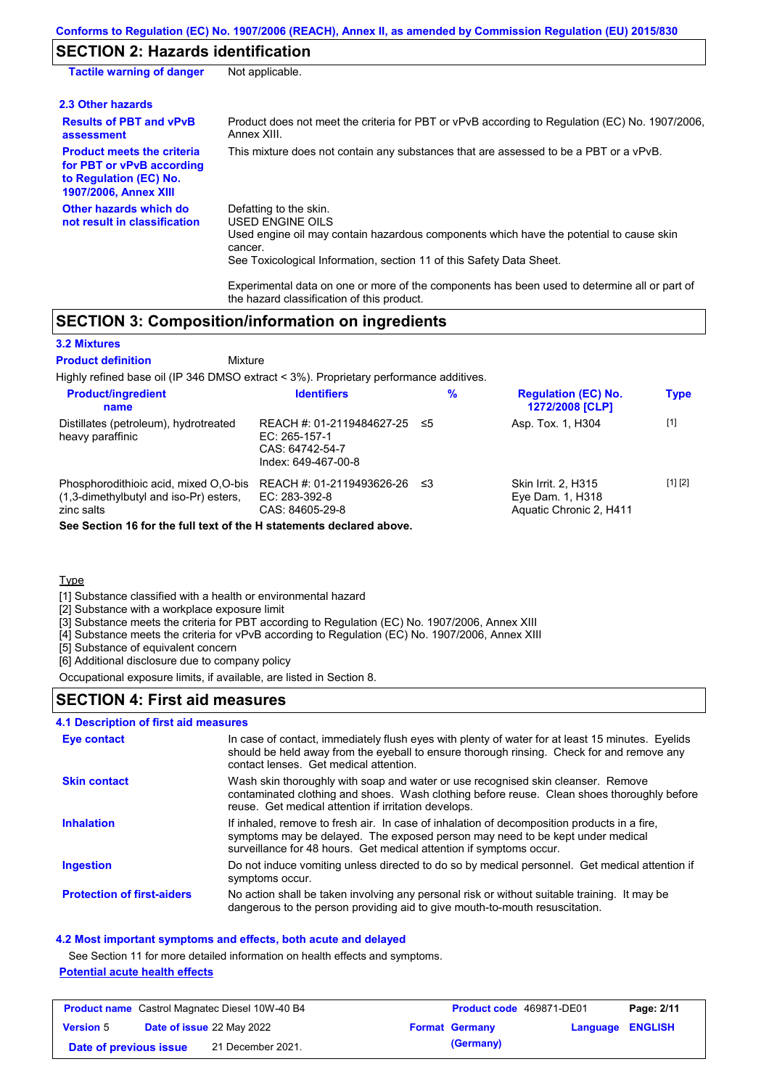### **SECTION 2: Hazards identification**

| <b>Tactile warning of danger</b>                                                                                         | Not applicable.                                                                                                                                                                                                                                                                                                                                                        |
|--------------------------------------------------------------------------------------------------------------------------|------------------------------------------------------------------------------------------------------------------------------------------------------------------------------------------------------------------------------------------------------------------------------------------------------------------------------------------------------------------------|
| 2.3 Other hazards                                                                                                        |                                                                                                                                                                                                                                                                                                                                                                        |
| <b>Results of PBT and vPvB</b><br>assessment                                                                             | Product does not meet the criteria for PBT or vPvB according to Regulation (EC) No. 1907/2006,<br>Annex XIII.                                                                                                                                                                                                                                                          |
| <b>Product meets the criteria</b><br>for PBT or vPvB according<br>to Regulation (EC) No.<br><b>1907/2006, Annex XIII</b> | This mixture does not contain any substances that are assessed to be a PBT or a vPvB.                                                                                                                                                                                                                                                                                  |
| Other hazards which do<br>not result in classification                                                                   | Defatting to the skin.<br>USED ENGINE OILS<br>Used engine oil may contain hazardous components which have the potential to cause skin<br>cancer.<br>See Toxicological Information, section 11 of this Safety Data Sheet.<br>Experimental data on one or more of the components has been used to determine all or part of<br>the hazard classification of this product. |

### **SECTION 3: Composition/information on ingredients**

Mixture

#### **3.2 Mixtures**

#### **Product definition**

Highly refined base oil (IP 346 DMSO extract < 3%). Proprietary performance additives.

| <b>Product/ingredient</b><br>name                                                                                                                                        | <b>Identifiers</b>                                                                   | %   | <b>Regulation (EC) No.</b><br>1272/2008 [CLP]                             | <b>Type</b> |
|--------------------------------------------------------------------------------------------------------------------------------------------------------------------------|--------------------------------------------------------------------------------------|-----|---------------------------------------------------------------------------|-------------|
| Distillates (petroleum), hydrotreated<br>heavy paraffinic                                                                                                                | REACH #: 01-2119484627-25<br>EC: 265-157-1<br>CAS: 64742-54-7<br>Index: 649-467-00-8 | -≤5 | Asp. Tox. 1, H304                                                         | $[1]$       |
| Phosphorodithioic acid, mixed O,O-bis<br>$(1,3$ -dimethylbutyl and iso-Pr) esters,<br>zinc salts<br>See Section 16 for the full text of the H statements declared above. | REACH #: 01-2119493626-26<br>EC: 283-392-8<br>CAS: 84605-29-8                        | ≤3  | <b>Skin Irrit. 2. H315</b><br>Eye Dam. 1, H318<br>Aquatic Chronic 2, H411 | [1] [2]     |

**Type** 

[1] Substance classified with a health or environmental hazard

[2] Substance with a workplace exposure limit

[3] Substance meets the criteria for PBT according to Regulation (EC) No. 1907/2006, Annex XIII

[4] Substance meets the criteria for vPvB according to Regulation (EC) No. 1907/2006, Annex XIII

[5] Substance of equivalent concern

[6] Additional disclosure due to company policy

Occupational exposure limits, if available, are listed in Section 8.

### **SECTION 4: First aid measures**

### **4.1 Description of first aid measures**

| <b>Eye contact</b>                | In case of contact, immediately flush eyes with plenty of water for at least 15 minutes. Eyelids<br>should be held away from the eyeball to ensure thorough rinsing. Check for and remove any<br>contact lenses. Get medical attention.             |
|-----------------------------------|-----------------------------------------------------------------------------------------------------------------------------------------------------------------------------------------------------------------------------------------------------|
| <b>Skin contact</b>               | Wash skin thoroughly with soap and water or use recognised skin cleanser. Remove<br>contaminated clothing and shoes. Wash clothing before reuse. Clean shoes thoroughly before<br>reuse. Get medical attention if irritation develops.              |
| <b>Inhalation</b>                 | If inhaled, remove to fresh air. In case of inhalation of decomposition products in a fire,<br>symptoms may be delayed. The exposed person may need to be kept under medical<br>surveillance for 48 hours. Get medical attention if symptoms occur. |
| <b>Ingestion</b>                  | Do not induce vomiting unless directed to do so by medical personnel. Get medical attention if<br>symptoms occur.                                                                                                                                   |
| <b>Protection of first-aiders</b> | No action shall be taken involving any personal risk or without suitable training. It may be<br>dangerous to the person providing aid to give mouth-to-mouth resuscitation.                                                                         |

### **4.2 Most important symptoms and effects, both acute and delayed**

See Section 11 for more detailed information on health effects and symptoms.

### **Potential acute health effects**

| <b>Product name</b> Castrol Magnatec Diesel 10W-40 B4 |  | Product code 469871-DE01         |  | Page: 2/11            |                  |  |
|-------------------------------------------------------|--|----------------------------------|--|-----------------------|------------------|--|
| <b>Version 5</b>                                      |  | <b>Date of issue 22 May 2022</b> |  | <b>Format Germany</b> | Language ENGLISH |  |
| Date of previous issue                                |  | 21 December 2021.                |  | (Germany)             |                  |  |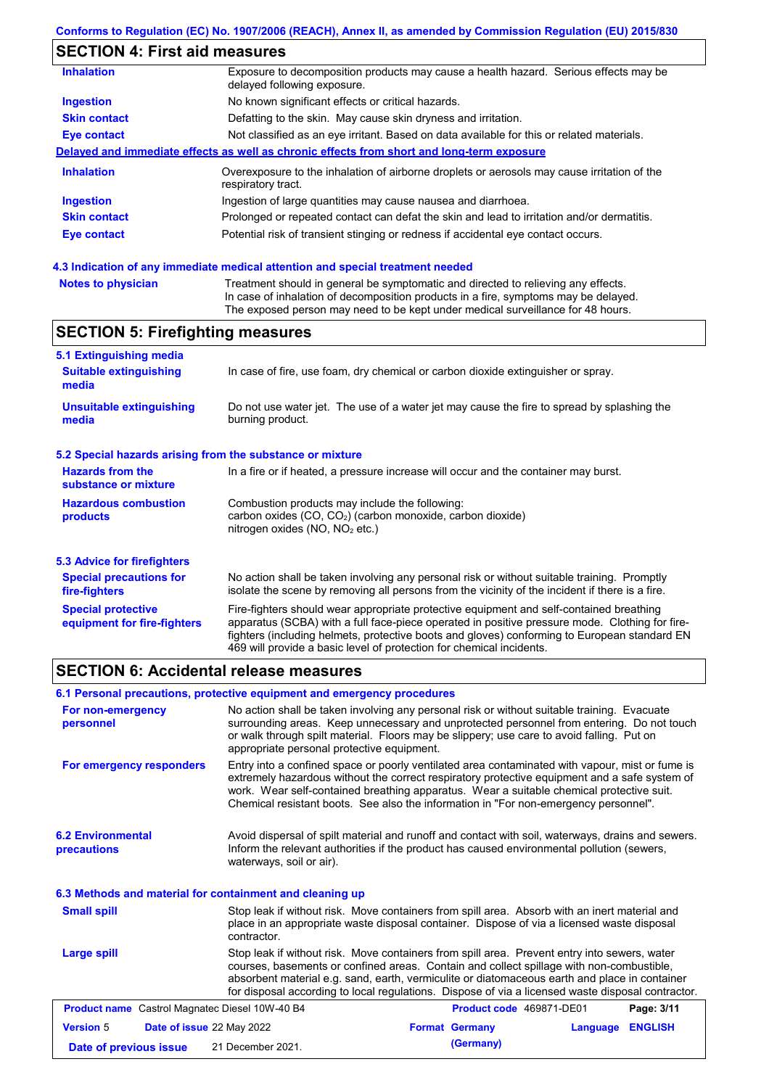## **SECTION 4: First aid measures**

| <b>Inhalation</b>   | Exposure to decomposition products may cause a health hazard. Serious effects may be<br>delayed following exposure. |
|---------------------|---------------------------------------------------------------------------------------------------------------------|
| <b>Ingestion</b>    | No known significant effects or critical hazards.                                                                   |
| <b>Skin contact</b> | Defatting to the skin. May cause skin dryness and irritation.                                                       |
| Eye contact         | Not classified as an eye irritant. Based on data available for this or related materials.                           |
|                     | Delayed and immediate effects as well as chronic effects from short and long-term exposure                          |
| <b>Inhalation</b>   | Overexposure to the inhalation of airborne droplets or aerosols may cause irritation of the<br>respiratory tract.   |
| <b>Ingestion</b>    | Ingestion of large quantities may cause nausea and diarrhoea.                                                       |
| <b>Skin contact</b> | Prolonged or repeated contact can defat the skin and lead to irritation and/or dermatitis.                          |
| Eye contact         | Potential risk of transient stinging or redness if accidental eye contact occurs.                                   |
|                     |                                                                                                                     |

### **4.3 Indication of any immediate medical attention and special treatment needed**

| <b>Notes to physician</b> | Treatment should in general be symptomatic and directed to relieving any effects.   |
|---------------------------|-------------------------------------------------------------------------------------|
|                           | In case of inhalation of decomposition products in a fire, symptoms may be delayed. |
|                           | The exposed person may need to be kept under medical surveillance for 48 hours.     |

# **SECTION 5: Firefighting measures**

| 5.1 Extinguishing media                                                                                                                                    |                                                                                                                                                                                                                                                                                                                                                                   |  |
|------------------------------------------------------------------------------------------------------------------------------------------------------------|-------------------------------------------------------------------------------------------------------------------------------------------------------------------------------------------------------------------------------------------------------------------------------------------------------------------------------------------------------------------|--|
| <b>Suitable extinguishing</b><br>media                                                                                                                     | In case of fire, use foam, dry chemical or carbon dioxide extinguisher or spray.                                                                                                                                                                                                                                                                                  |  |
| <b>Unsuitable extinguishing</b><br>Do not use water jet. The use of a water jet may cause the fire to spread by splashing the<br>burning product.<br>media |                                                                                                                                                                                                                                                                                                                                                                   |  |
| 5.2 Special hazards arising from the substance or mixture                                                                                                  |                                                                                                                                                                                                                                                                                                                                                                   |  |
| <b>Hazards from the</b><br>substance or mixture                                                                                                            | In a fire or if heated, a pressure increase will occur and the container may burst.                                                                                                                                                                                                                                                                               |  |
| <b>Hazardous combustion</b><br>products                                                                                                                    | Combustion products may include the following:<br>carbon oxides (CO, CO <sub>2</sub> ) (carbon monoxide, carbon dioxide)<br>nitrogen oxides ( $NO$ , $NO2$ etc.)                                                                                                                                                                                                  |  |
| 5.3 Advice for firefighters                                                                                                                                |                                                                                                                                                                                                                                                                                                                                                                   |  |
| <b>Special precautions for</b><br>fire-fighters                                                                                                            | No action shall be taken involving any personal risk or without suitable training. Promptly<br>isolate the scene by removing all persons from the vicinity of the incident if there is a fire.                                                                                                                                                                    |  |
| <b>Special protective</b><br>equipment for fire-fighters                                                                                                   | Fire-fighters should wear appropriate protective equipment and self-contained breathing<br>apparatus (SCBA) with a full face-piece operated in positive pressure mode. Clothing for fire-<br>fighters (including helmets, protective boots and gloves) conforming to European standard EN<br>469 will provide a basic level of protection for chemical incidents. |  |

### **SECTION 6: Accidental release measures**

|                                                          | 6.1 Personal precautions, protective equipment and emergency procedures                                                                                                                                                                                                                                                                                                                        |                       |           |                          |                |
|----------------------------------------------------------|------------------------------------------------------------------------------------------------------------------------------------------------------------------------------------------------------------------------------------------------------------------------------------------------------------------------------------------------------------------------------------------------|-----------------------|-----------|--------------------------|----------------|
| For non-emergency<br>personnel                           | No action shall be taken involving any personal risk or without suitable training. Evacuate<br>surrounding areas. Keep unnecessary and unprotected personnel from entering. Do not touch<br>or walk through spilt material. Floors may be slippery; use care to avoid falling. Put on<br>appropriate personal protective equipment.                                                            |                       |           |                          |                |
| For emergency responders                                 | Entry into a confined space or poorly ventilated area contaminated with vapour, mist or fume is<br>extremely hazardous without the correct respiratory protective equipment and a safe system of<br>work. Wear self-contained breathing apparatus. Wear a suitable chemical protective suit.<br>Chemical resistant boots. See also the information in "For non-emergency personnel".           |                       |           |                          |                |
| <b>6.2 Environmental</b><br>precautions                  | Avoid dispersal of spilt material and runoff and contact with soil, waterways, drains and sewers.<br>Inform the relevant authorities if the product has caused environmental pollution (sewers,<br>waterways, soil or air).                                                                                                                                                                    |                       |           |                          |                |
| 6.3 Methods and material for containment and cleaning up |                                                                                                                                                                                                                                                                                                                                                                                                |                       |           |                          |                |
| <b>Small spill</b>                                       | Stop leak if without risk. Move containers from spill area. Absorb with an inert material and<br>place in an appropriate waste disposal container. Dispose of via a licensed waste disposal<br>contractor.                                                                                                                                                                                     |                       |           |                          |                |
| Large spill                                              | Stop leak if without risk. Move containers from spill area. Prevent entry into sewers, water<br>courses, basements or confined areas. Contain and collect spillage with non-combustible,<br>absorbent material e.g. sand, earth, vermiculite or diatomaceous earth and place in container<br>for disposal according to local regulations. Dispose of via a licensed waste disposal contractor. |                       |           |                          |                |
| <b>Product name</b> Castrol Magnatec Diesel 10W-40 B4    |                                                                                                                                                                                                                                                                                                                                                                                                |                       |           | Product code 469871-DE01 | Page: 3/11     |
| <b>Version 5</b><br>Date of issue 22 May 2022            |                                                                                                                                                                                                                                                                                                                                                                                                | <b>Format Germany</b> |           | Language                 | <b>ENGLISH</b> |
| Date of previous issue                                   | 21 December 2021.                                                                                                                                                                                                                                                                                                                                                                              |                       | (Germany) |                          |                |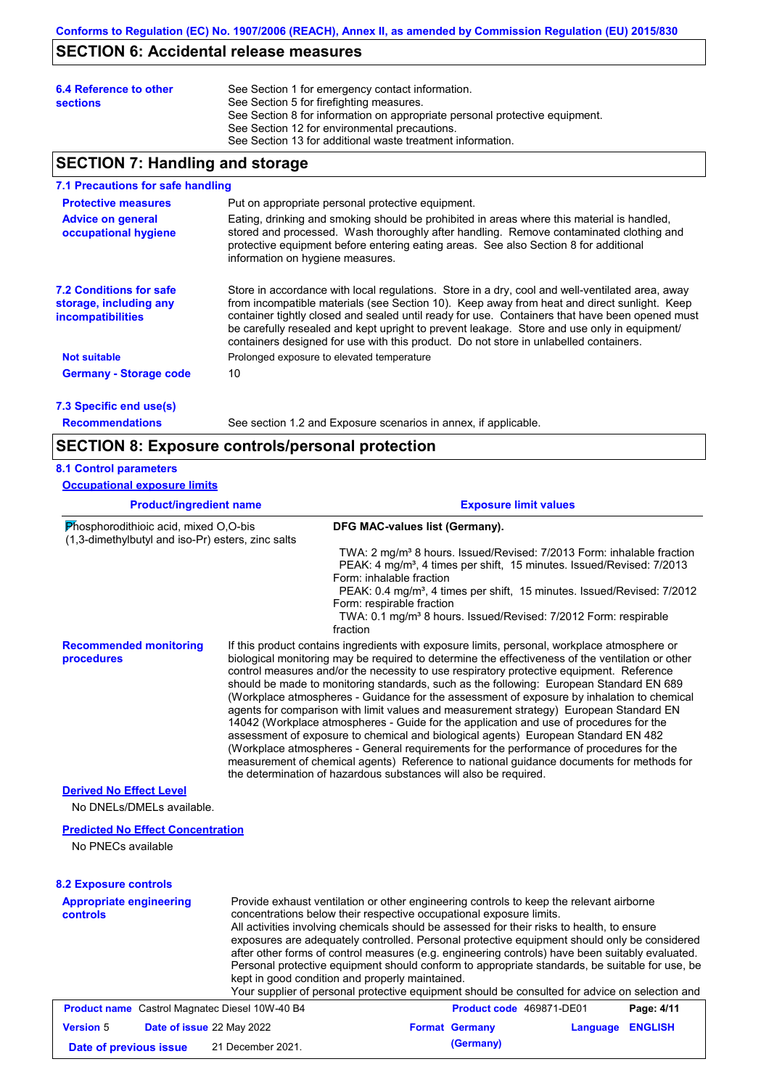# **SECTION 6: Accidental release measures**

| 6.4 Reference to other<br><b>sections</b> | See Section 1 for emergency contact information.<br>See Section 5 for firefighting measures.<br>See Section 8 for information on appropriate personal protective equipment.<br>See Section 12 for environmental precautions.<br>See Section 13 for additional waste treatment information. |
|-------------------------------------------|--------------------------------------------------------------------------------------------------------------------------------------------------------------------------------------------------------------------------------------------------------------------------------------------|
|                                           |                                                                                                                                                                                                                                                                                            |

### **SECTION 7: Handling and storage**

### **7.1 Precautions for safe handling**

| Put on appropriate personal protective equipment.                                                                                                                                                                                                                                                                                                                                                                                                                                        |
|------------------------------------------------------------------------------------------------------------------------------------------------------------------------------------------------------------------------------------------------------------------------------------------------------------------------------------------------------------------------------------------------------------------------------------------------------------------------------------------|
| Eating, drinking and smoking should be prohibited in areas where this material is handled.<br>stored and processed. Wash thoroughly after handling. Remove contaminated clothing and<br>protective equipment before entering eating areas. See also Section 8 for additional<br>information on hygiene measures.                                                                                                                                                                         |
| Store in accordance with local regulations. Store in a dry, cool and well-ventilated area, away<br>from incompatible materials (see Section 10). Keep away from heat and direct sunlight. Keep<br>container tightly closed and sealed until ready for use. Containers that have been opened must<br>be carefully resealed and kept upright to prevent leakage. Store and use only in equipment/<br>containers designed for use with this product. Do not store in unlabelled containers. |
| Prolonged exposure to elevated temperature                                                                                                                                                                                                                                                                                                                                                                                                                                               |
| 10                                                                                                                                                                                                                                                                                                                                                                                                                                                                                       |
|                                                                                                                                                                                                                                                                                                                                                                                                                                                                                          |

**7.3 Specific end use(s) Recommendations**

See section 1.2 and Exposure scenarios in annex, if applicable.

### **SECTION 8: Exposure controls/personal protection**

### **8.1 Control parameters**

| <b>Product/ingredient name</b>                                                             | <b>Exposure limit values</b>                                                                                                                                                                                                                                                                                                                                                                                                                                                                                                                                                                                                                                                                                                                                                                                                                                                                                                                                                                                               |
|--------------------------------------------------------------------------------------------|----------------------------------------------------------------------------------------------------------------------------------------------------------------------------------------------------------------------------------------------------------------------------------------------------------------------------------------------------------------------------------------------------------------------------------------------------------------------------------------------------------------------------------------------------------------------------------------------------------------------------------------------------------------------------------------------------------------------------------------------------------------------------------------------------------------------------------------------------------------------------------------------------------------------------------------------------------------------------------------------------------------------------|
| Phosphorodithioic acid, mixed O,O-bis<br>(1,3-dimethylbutyl and iso-Pr) esters, zinc salts | DFG MAC-values list (Germany).                                                                                                                                                                                                                                                                                                                                                                                                                                                                                                                                                                                                                                                                                                                                                                                                                                                                                                                                                                                             |
|                                                                                            | TWA: 2 mg/m <sup>3</sup> 8 hours. Issued/Revised: 7/2013 Form: inhalable fraction<br>PEAK: 4 mg/m <sup>3</sup> , 4 times per shift, 15 minutes. Issued/Revised: 7/2013<br>Form: inhalable fraction<br>PEAK: 0.4 mg/m <sup>3</sup> , 4 times per shift, 15 minutes. Issued/Revised: 7/2012<br>Form: respirable fraction<br>TWA: 0.1 mg/m <sup>3</sup> 8 hours. Issued/Revised: 7/2012 Form: respirable<br>fraction                                                                                                                                                                                                                                                                                                                                                                                                                                                                                                                                                                                                          |
| <b>Recommended monitoring</b><br>procedures                                                | If this product contains ingredients with exposure limits, personal, workplace atmosphere or<br>biological monitoring may be required to determine the effectiveness of the ventilation or other<br>control measures and/or the necessity to use respiratory protective equipment. Reference<br>should be made to monitoring standards, such as the following: European Standard EN 689<br>(Workplace atmospheres - Guidance for the assessment of exposure by inhalation to chemical<br>agents for comparison with limit values and measurement strategy) European Standard EN<br>14042 (Workplace atmospheres - Guide for the application and use of procedures for the<br>assessment of exposure to chemical and biological agents) European Standard EN 482<br>(Workplace atmospheres - General requirements for the performance of procedures for the<br>measurement of chemical agents) Reference to national guidance documents for methods for<br>the determination of hazardous substances will also be required. |
| <b>Derived No Effect Level</b><br>No DNELs/DMELs available.                                |                                                                                                                                                                                                                                                                                                                                                                                                                                                                                                                                                                                                                                                                                                                                                                                                                                                                                                                                                                                                                            |
| <b>Predicted No Effect Concentration</b><br>No PNECs available                             |                                                                                                                                                                                                                                                                                                                                                                                                                                                                                                                                                                                                                                                                                                                                                                                                                                                                                                                                                                                                                            |
| <b>8.2 Exposure controls</b>                                                               |                                                                                                                                                                                                                                                                                                                                                                                                                                                                                                                                                                                                                                                                                                                                                                                                                                                                                                                                                                                                                            |
| <b>Appropriate engineering</b><br>controls                                                 | Provide exhaust ventilation or other engineering controls to keep the relevant airborne<br>concentrations below their respective occupational exposure limits.<br>All activities involving chemicals should be assessed for their risks to health, to ensure<br>exposures are adequately controlled. Personal protective equipment should only be considered<br>after other forms of control measures (e.g. engineering controls) have been suitably evaluated.<br>Personal protective equipment should conform to appropriate standards, be suitable for use, be<br>kept in good condition and properly maintained.<br>Your supplier of personal protective equipment should be consulted for advice on selection and                                                                                                                                                                                                                                                                                                     |
| <b>Product name</b> Castrol Magnatec Diesel 10W-40 B4                                      | <b>Product code</b> 469871-DF01<br>Page: 4/11                                                                                                                                                                                                                                                                                                                                                                                                                                                                                                                                                                                                                                                                                                                                                                                                                                                                                                                                                                              |

|                        | <b>Product name</b> Castrol Magnatec Diesel 10W-40 B4 | <b>Product code</b> 469871-DE01 |                  | Page: 4/11 |
|------------------------|-------------------------------------------------------|---------------------------------|------------------|------------|
| <b>Version 5</b>       | <b>Date of issue 22 May 2022</b>                      | <b>Format Germany</b>           | Language ENGLISH |            |
| Date of previous issue | 21 December 2021.                                     | (Germany)                       |                  |            |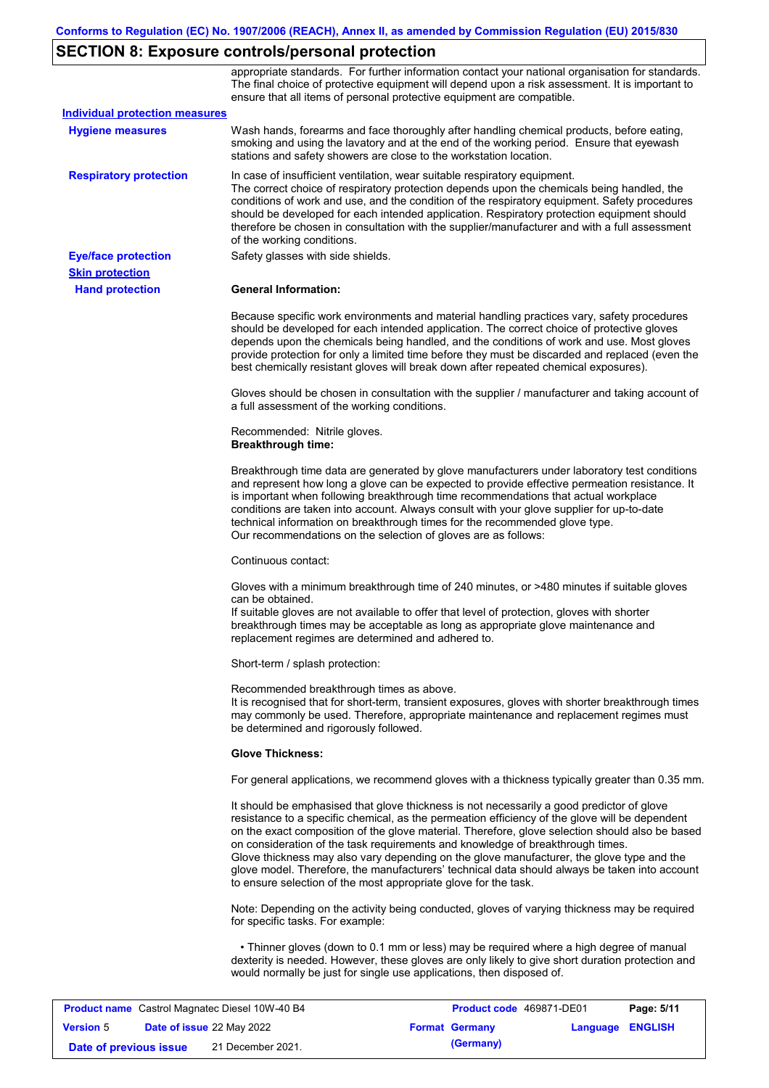# **SECTION 8: Exposure controls/personal protection**

|                                       | appropriate standards. For further information contact your national organisation for standards.<br>The final choice of protective equipment will depend upon a risk assessment. It is important to<br>ensure that all items of personal protective equipment are compatible.                                                                                                                                                                                                                                                                                                                                                                     |
|---------------------------------------|---------------------------------------------------------------------------------------------------------------------------------------------------------------------------------------------------------------------------------------------------------------------------------------------------------------------------------------------------------------------------------------------------------------------------------------------------------------------------------------------------------------------------------------------------------------------------------------------------------------------------------------------------|
| <b>Individual protection measures</b> |                                                                                                                                                                                                                                                                                                                                                                                                                                                                                                                                                                                                                                                   |
| <b>Hygiene measures</b>               | Wash hands, forearms and face thoroughly after handling chemical products, before eating,<br>smoking and using the lavatory and at the end of the working period. Ensure that eyewash<br>stations and safety showers are close to the workstation location.                                                                                                                                                                                                                                                                                                                                                                                       |
| <b>Respiratory protection</b>         | In case of insufficient ventilation, wear suitable respiratory equipment.<br>The correct choice of respiratory protection depends upon the chemicals being handled, the<br>conditions of work and use, and the condition of the respiratory equipment. Safety procedures<br>should be developed for each intended application. Respiratory protection equipment should<br>therefore be chosen in consultation with the supplier/manufacturer and with a full assessment<br>of the working conditions.                                                                                                                                             |
| <b>Eye/face protection</b>            | Safety glasses with side shields.                                                                                                                                                                                                                                                                                                                                                                                                                                                                                                                                                                                                                 |
| <b>Skin protection</b>                |                                                                                                                                                                                                                                                                                                                                                                                                                                                                                                                                                                                                                                                   |
| <b>Hand protection</b>                | <b>General Information:</b>                                                                                                                                                                                                                                                                                                                                                                                                                                                                                                                                                                                                                       |
|                                       | Because specific work environments and material handling practices vary, safety procedures<br>should be developed for each intended application. The correct choice of protective gloves<br>depends upon the chemicals being handled, and the conditions of work and use. Most gloves<br>provide protection for only a limited time before they must be discarded and replaced (even the<br>best chemically resistant gloves will break down after repeated chemical exposures).                                                                                                                                                                  |
|                                       | Gloves should be chosen in consultation with the supplier / manufacturer and taking account of<br>a full assessment of the working conditions.                                                                                                                                                                                                                                                                                                                                                                                                                                                                                                    |
|                                       | Recommended: Nitrile gloves.<br><b>Breakthrough time:</b>                                                                                                                                                                                                                                                                                                                                                                                                                                                                                                                                                                                         |
|                                       | Breakthrough time data are generated by glove manufacturers under laboratory test conditions<br>and represent how long a glove can be expected to provide effective permeation resistance. It<br>is important when following breakthrough time recommendations that actual workplace<br>conditions are taken into account. Always consult with your glove supplier for up-to-date<br>technical information on breakthrough times for the recommended glove type.<br>Our recommendations on the selection of gloves are as follows:                                                                                                                |
|                                       | Continuous contact:                                                                                                                                                                                                                                                                                                                                                                                                                                                                                                                                                                                                                               |
|                                       | Gloves with a minimum breakthrough time of 240 minutes, or >480 minutes if suitable gloves<br>can be obtained.<br>If suitable gloves are not available to offer that level of protection, gloves with shorter<br>breakthrough times may be acceptable as long as appropriate glove maintenance and<br>replacement regimes are determined and adhered to.                                                                                                                                                                                                                                                                                          |
|                                       | Short-term / splash protection:                                                                                                                                                                                                                                                                                                                                                                                                                                                                                                                                                                                                                   |
|                                       | Recommended breakthrough times as above.<br>It is recognised that for short-term, transient exposures, gloves with shorter breakthrough times<br>may commonly be used. Therefore, appropriate maintenance and replacement regimes must<br>be determined and rigorously followed.                                                                                                                                                                                                                                                                                                                                                                  |
|                                       | <b>Glove Thickness:</b>                                                                                                                                                                                                                                                                                                                                                                                                                                                                                                                                                                                                                           |
|                                       | For general applications, we recommend gloves with a thickness typically greater than 0.35 mm.                                                                                                                                                                                                                                                                                                                                                                                                                                                                                                                                                    |
|                                       | It should be emphasised that glove thickness is not necessarily a good predictor of glove<br>resistance to a specific chemical, as the permeation efficiency of the glove will be dependent<br>on the exact composition of the glove material. Therefore, glove selection should also be based<br>on consideration of the task requirements and knowledge of breakthrough times.<br>Glove thickness may also vary depending on the glove manufacturer, the glove type and the<br>glove model. Therefore, the manufacturers' technical data should always be taken into account<br>to ensure selection of the most appropriate glove for the task. |
|                                       | Note: Depending on the activity being conducted, gloves of varying thickness may be required<br>for specific tasks. For example:                                                                                                                                                                                                                                                                                                                                                                                                                                                                                                                  |
|                                       | • Thinner gloves (down to 0.1 mm or less) may be required where a high degree of manual<br>dexterity is needed. However, these gloves are only likely to give short duration protection and<br>would normally be just for single use applications, then disposed of.                                                                                                                                                                                                                                                                                                                                                                              |

|                        | <b>Product name</b> Castrol Magnatec Diesel 10W-40 B4 | <b>Product code</b> 469871-DE01 |                         | Page: 5/11 |
|------------------------|-------------------------------------------------------|---------------------------------|-------------------------|------------|
| <b>Version 5</b>       | Date of issue 22 May 2022                             | <b>Format Germany</b>           | <b>Language ENGLISH</b> |            |
| Date of previous issue | 21 December 2021.                                     | (Germany)                       |                         |            |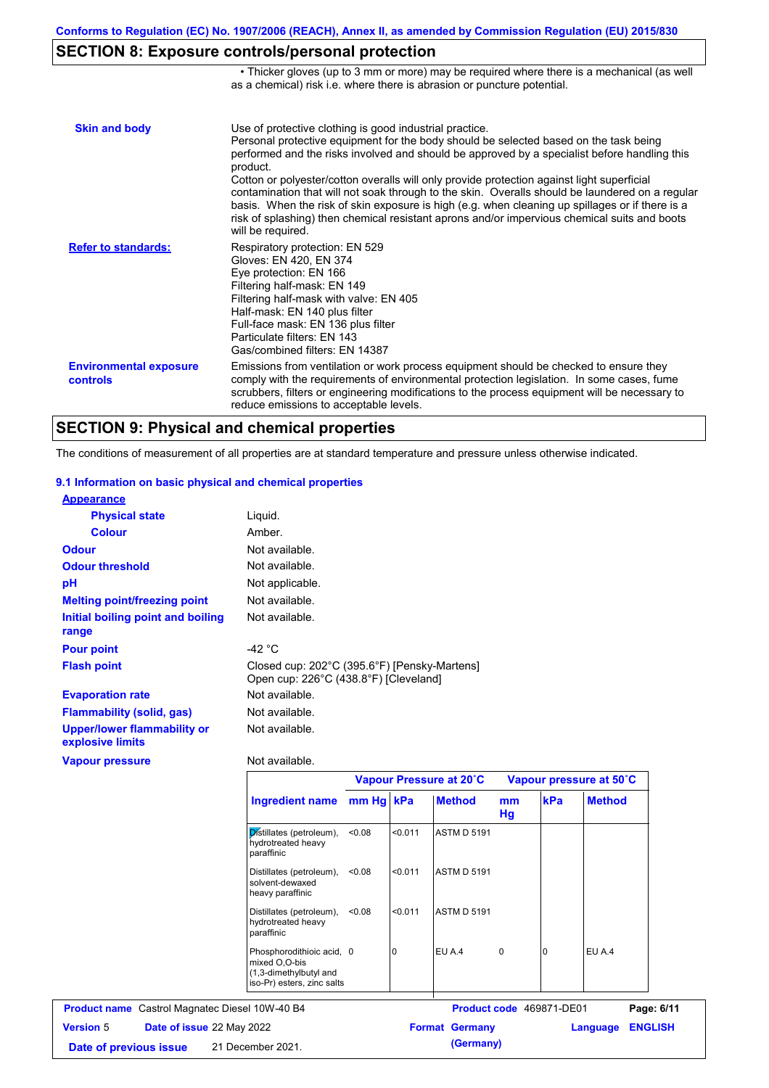# **SECTION 8: Exposure controls/personal protection**

|                                           | • Thicker gloves (up to 3 mm or more) may be required where there is a mechanical (as well<br>as a chemical) risk i.e. where there is abrasion or puncture potential.                                                                                                                                                                                                                                                                                                                                                                                                                                                                                                                 |
|-------------------------------------------|---------------------------------------------------------------------------------------------------------------------------------------------------------------------------------------------------------------------------------------------------------------------------------------------------------------------------------------------------------------------------------------------------------------------------------------------------------------------------------------------------------------------------------------------------------------------------------------------------------------------------------------------------------------------------------------|
| <b>Skin and body</b>                      | Use of protective clothing is good industrial practice.<br>Personal protective equipment for the body should be selected based on the task being<br>performed and the risks involved and should be approved by a specialist before handling this<br>product.<br>Cotton or polyester/cotton overalls will only provide protection against light superficial<br>contamination that will not soak through to the skin. Overalls should be laundered on a regular<br>basis. When the risk of skin exposure is high (e.g. when cleaning up spillages or if there is a<br>risk of splashing) then chemical resistant aprons and/or impervious chemical suits and boots<br>will be required. |
| <b>Refer to standards:</b>                | Respiratory protection: EN 529<br>Gloves: EN 420, EN 374<br>Eye protection: EN 166<br>Filtering half-mask: EN 149<br>Filtering half-mask with valve: EN 405<br>Half-mask: EN 140 plus filter<br>Full-face mask: EN 136 plus filter<br>Particulate filters: FN 143<br>Gas/combined filters: EN 14387                                                                                                                                                                                                                                                                                                                                                                                   |
| <b>Environmental exposure</b><br>controls | Emissions from ventilation or work process equipment should be checked to ensure they<br>comply with the requirements of environmental protection legislation. In some cases, fume<br>scrubbers, filters or engineering modifications to the process equipment will be necessary to<br>reduce emissions to acceptable levels.                                                                                                                                                                                                                                                                                                                                                         |

# **SECTION 9: Physical and chemical properties**

The conditions of measurement of all properties are at standard temperature and pressure unless otherwise indicated.

#### **9.1 Information on basic physical and chemical properties**

| <b>Appearance</b>                                      |                                                                                       |
|--------------------------------------------------------|---------------------------------------------------------------------------------------|
| <b>Physical state</b>                                  | Liquid.                                                                               |
| <b>Colour</b>                                          | Amber                                                                                 |
| <b>Odour</b>                                           | Not available.                                                                        |
| <b>Odour threshold</b>                                 | Not available.                                                                        |
| рH                                                     | Not applicable.                                                                       |
| <b>Melting point/freezing point</b>                    | Not available.                                                                        |
| Initial boiling point and boiling<br>range             | Not available.                                                                        |
| <b>Pour point</b>                                      | -42 $^{\circ}$ C                                                                      |
| <b>Flash point</b>                                     | Closed cup: 202°C (395.6°F) [Pensky-Martens]<br>Open cup: 226°C (438.8°F) [Cleveland] |
| <b>Evaporation rate</b>                                | Not available.                                                                        |
| <b>Flammability (solid, gas)</b>                       | Not available.                                                                        |
| <b>Upper/lower flammability or</b><br>explosive limits | Not available.                                                                        |
| <b>Vapour pressure</b>                                 | Not available.                                                                        |
|                                                        | <b>Vanour Droceuro at 20°C</b>                                                        |

|                                                       |                                                                                                    |        |         | Vapour Pressure at 20°C  |             |     | Vapour pressure at 50°C |                |
|-------------------------------------------------------|----------------------------------------------------------------------------------------------------|--------|---------|--------------------------|-------------|-----|-------------------------|----------------|
|                                                       | Ingredient name mm Hg kPa                                                                          |        |         | <b>Method</b>            | mm<br>Hg    | kPa | <b>Method</b>           |                |
|                                                       | Distillates (petroleum),<br>hydrotreated heavy<br>paraffinic                                       | < 0.08 | < 0.011 | <b>ASTM D 5191</b>       |             |     |                         |                |
|                                                       | Distillates (petroleum),<br>solvent-dewaxed<br>heavy paraffinic                                    | < 0.08 | < 0.011 | <b>ASTM D 5191</b>       |             |     |                         |                |
|                                                       | Distillates (petroleum),<br>hydrotreated heavy<br>paraffinic                                       | < 0.08 | < 0.011 | <b>ASTM D 5191</b>       |             |     |                         |                |
|                                                       | Phosphorodithioic acid, 0<br>mixed O,O-bis<br>(1,3-dimethylbutyl and<br>iso-Pr) esters, zinc salts |        | 0       | EU A.4                   | $\mathbf 0$ |     | EU A.4                  |                |
| <b>Product name</b> Castrol Magnatec Diesel 10W-40 B4 |                                                                                                    |        |         | Product code 469871-DE01 |             |     |                         | Page: 6/11     |
| <b>Version</b> 5<br>Date of issue 22 May 2022         |                                                                                                    |        |         | <b>Format Germany</b>    |             |     | Language                | <b>ENGLISH</b> |
| 21 December 2021.<br>Date of previous issue           |                                                                                                    |        |         | (Germany)                |             |     |                         |                |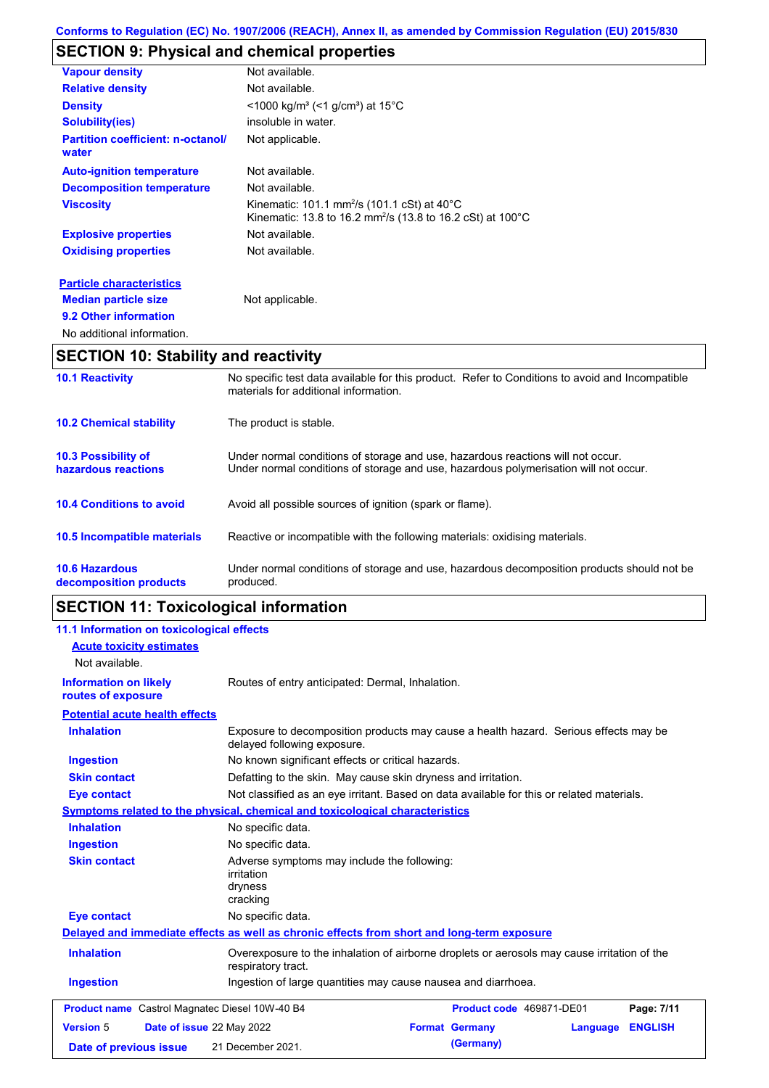# **SECTION 9: Physical and chemical properties**

| <b>Vapour density</b>                             | Not available.                                                                                                                                         |
|---------------------------------------------------|--------------------------------------------------------------------------------------------------------------------------------------------------------|
| <b>Relative density</b>                           | Not available.                                                                                                                                         |
| <b>Density</b>                                    | $\leq$ 1000 kg/m <sup>3</sup> (<1 g/cm <sup>3</sup> ) at 15 <sup>°</sup> C                                                                             |
| <b>Solubility(ies)</b>                            | insoluble in water.                                                                                                                                    |
| <b>Partition coefficient: n-octanol/</b><br>water | Not applicable.                                                                                                                                        |
| <b>Auto-ignition temperature</b>                  | Not available.                                                                                                                                         |
| <b>Decomposition temperature</b>                  | Not available.                                                                                                                                         |
| <b>Viscosity</b>                                  | Kinematic: 101.1 mm <sup>2</sup> /s (101.1 cSt) at $40^{\circ}$ C<br>Kinematic: 13.8 to 16.2 mm <sup>2</sup> /s (13.8 to 16.2 cSt) at 100 $^{\circ}$ C |
| <b>Explosive properties</b>                       | Not available.                                                                                                                                         |
| <b>Oxidising properties</b>                       | Not available.                                                                                                                                         |
| <b>Particle characteristics</b>                   |                                                                                                                                                        |
| <b>Median particle size</b>                       | Not applicable.                                                                                                                                        |
| 9.2 Other information                             |                                                                                                                                                        |

```
No additional information.
```
# **SECTION 10: Stability and reactivity**

| <b>APAPIALL 11</b>                                |                                                                                                                                                                         |
|---------------------------------------------------|-------------------------------------------------------------------------------------------------------------------------------------------------------------------------|
| <b>10.6 Hazardous</b><br>decomposition products   | Under normal conditions of storage and use, hazardous decomposition products should not be<br>produced.                                                                 |
| 10.5 Incompatible materials                       | Reactive or incompatible with the following materials: oxidising materials.                                                                                             |
| <b>10.4 Conditions to avoid</b>                   | Avoid all possible sources of ignition (spark or flame).                                                                                                                |
| <b>10.3 Possibility of</b><br>hazardous reactions | Under normal conditions of storage and use, hazardous reactions will not occur.<br>Under normal conditions of storage and use, hazardous polymerisation will not occur. |
| <b>10.2 Chemical stability</b>                    | The product is stable.                                                                                                                                                  |
| <b>10.1 Reactivity</b>                            | No specific test data available for this product. Refer to Conditions to avoid and Incompatible<br>materials for additional information.                                |

# **SECTION 11: Toxicological information**

| 11.1 Information on toxicological effects      |                                                                                                                     |                                   |                |
|------------------------------------------------|---------------------------------------------------------------------------------------------------------------------|-----------------------------------|----------------|
| <b>Acute toxicity estimates</b>                |                                                                                                                     |                                   |                |
| Not available.                                 |                                                                                                                     |                                   |                |
| <b>Information on likely</b>                   | Routes of entry anticipated: Dermal, Inhalation.                                                                    |                                   |                |
| routes of exposure                             |                                                                                                                     |                                   |                |
| <b>Potential acute health effects</b>          |                                                                                                                     |                                   |                |
| <b>Inhalation</b>                              | Exposure to decomposition products may cause a health hazard. Serious effects may be<br>delayed following exposure. |                                   |                |
| <b>Ingestion</b>                               | No known significant effects or critical hazards.                                                                   |                                   |                |
| <b>Skin contact</b>                            | Defatting to the skin. May cause skin dryness and irritation.                                                       |                                   |                |
| <b>Eye contact</b>                             | Not classified as an eye irritant. Based on data available for this or related materials.                           |                                   |                |
|                                                | <b>Symptoms related to the physical, chemical and toxicological characteristics</b>                                 |                                   |                |
| <b>Inhalation</b>                              | No specific data.                                                                                                   |                                   |                |
| <b>Ingestion</b>                               | No specific data.                                                                                                   |                                   |                |
| <b>Skin contact</b>                            | Adverse symptoms may include the following:<br><i>irritation</i><br>dryness<br>cracking                             |                                   |                |
| <b>Eye contact</b>                             | No specific data.                                                                                                   |                                   |                |
|                                                | Delayed and immediate effects as well as chronic effects from short and long-term exposure                          |                                   |                |
| <b>Inhalation</b>                              | Overexposure to the inhalation of airborne droplets or aerosols may cause irritation of the<br>respiratory tract.   |                                   |                |
| <b>Ingestion</b>                               | Ingestion of large quantities may cause nausea and diarrhoea.                                                       |                                   |                |
| Product name Castrol Magnatec Diesel 10W-40 B4 |                                                                                                                     | Product code 469871-DE01          | Page: 7/11     |
| <b>Version 5</b><br>Date of issue 22 May 2022  |                                                                                                                     | <b>Format Germany</b><br>Language | <b>ENGLISH</b> |
| Date of previous issue                         | 21 December 2021.                                                                                                   | (Germany)                         |                |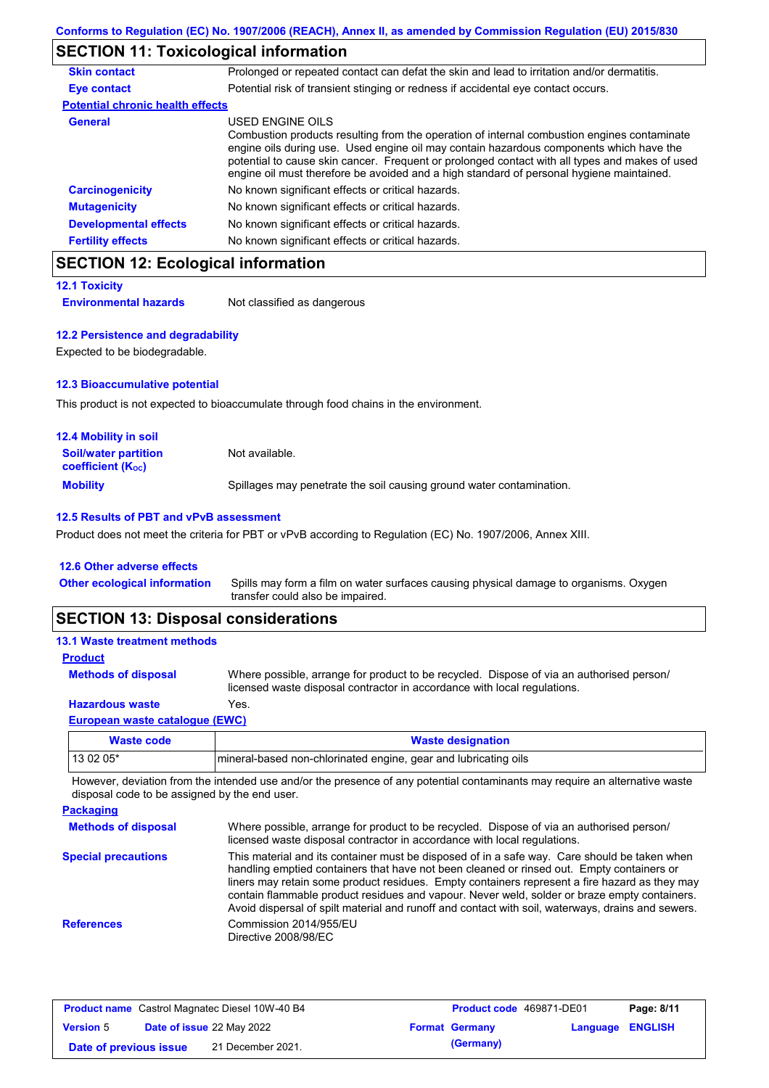# **SECTION 11: Toxicological information**

| <b>Skin contact</b>                     | Prolonged or repeated contact can defat the skin and lead to irritation and/or dermatitis.                                                                                                                                                                                                                                                                                                               |
|-----------------------------------------|----------------------------------------------------------------------------------------------------------------------------------------------------------------------------------------------------------------------------------------------------------------------------------------------------------------------------------------------------------------------------------------------------------|
| Eye contact                             | Potential risk of transient stinging or redness if accidental eye contact occurs.                                                                                                                                                                                                                                                                                                                        |
| <b>Potential chronic health effects</b> |                                                                                                                                                                                                                                                                                                                                                                                                          |
| <b>General</b>                          | USED ENGINE OILS<br>Combustion products resulting from the operation of internal combustion engines contaminate<br>engine oils during use. Used engine oil may contain hazardous components which have the<br>potential to cause skin cancer. Frequent or prolonged contact with all types and makes of used<br>engine oil must therefore be avoided and a high standard of personal hygiene maintained. |
| <b>Carcinogenicity</b>                  | No known significant effects or critical hazards.                                                                                                                                                                                                                                                                                                                                                        |
| <b>Mutagenicity</b>                     | No known significant effects or critical hazards.                                                                                                                                                                                                                                                                                                                                                        |
| <b>Developmental effects</b>            | No known significant effects or critical hazards.                                                                                                                                                                                                                                                                                                                                                        |
| <b>Fertility effects</b>                | No known significant effects or critical hazards.                                                                                                                                                                                                                                                                                                                                                        |

### **SECTION 12: Ecological information**

```
12.1 Toxicity
```
**Environmental hazards** Not classified as dangerous

#### **12.2 Persistence and degradability**

Expected to be biodegradable.

### **12.3 Bioaccumulative potential**

This product is not expected to bioaccumulate through food chains in the environment.

| <b>12.4 Mobility in soil</b>                                  |                                                                      |
|---------------------------------------------------------------|----------------------------------------------------------------------|
| <b>Soil/water partition</b><br>coefficient (K <sub>oc</sub> ) | Not available.                                                       |
| <b>Mobility</b>                                               | Spillages may penetrate the soil causing ground water contamination. |

### **12.5 Results of PBT and vPvB assessment**

Product does not meet the criteria for PBT or vPvB according to Regulation (EC) No. 1907/2006, Annex XIII.

#### **12.6 Other adverse effects**

Spills may form a film on water surfaces causing physical damage to organisms. Oxygen transfer could also be impaired. **Other ecological information**

### **SECTION 13: Disposal considerations**

#### **13.1 Waste treatment methods**

**Methods of disposal**

**Product**

Where possible, arrange for product to be recycled. Dispose of via an authorised person/ licensed waste disposal contractor in accordance with local regulations.

### **Hazardous waste** Yes.

#### **European waste catalogue (EWC)**

| Waste code  | <b>Waste designation</b>                                        |
|-------------|-----------------------------------------------------------------|
| l 13 02 05* | mineral-based non-chlorinated engine, gear and lubricating oils |

However, deviation from the intended use and/or the presence of any potential contaminants may require an alternative waste disposal code to be assigned by the end user.

| <b>Packaging</b>           |                                                                                                                                                                                                                                                                                                                                                                                                                                                                                                 |
|----------------------------|-------------------------------------------------------------------------------------------------------------------------------------------------------------------------------------------------------------------------------------------------------------------------------------------------------------------------------------------------------------------------------------------------------------------------------------------------------------------------------------------------|
| <b>Methods of disposal</b> | Where possible, arrange for product to be recycled. Dispose of via an authorised person/<br>licensed waste disposal contractor in accordance with local regulations.                                                                                                                                                                                                                                                                                                                            |
| <b>Special precautions</b> | This material and its container must be disposed of in a safe way. Care should be taken when<br>handling emptied containers that have not been cleaned or rinsed out. Empty containers or<br>liners may retain some product residues. Empty containers represent a fire hazard as they may<br>contain flammable product residues and vapour. Never weld, solder or braze empty containers.<br>Avoid dispersal of spilt material and runoff and contact with soil, waterways, drains and sewers. |
| <b>References</b>          | Commission 2014/955/EU<br>Directive 2008/98/EC                                                                                                                                                                                                                                                                                                                                                                                                                                                  |

| <b>Product name</b> Castrol Magnatec Diesel 10W-40 B4 |  | <b>Product code</b> 469871-DE01 |  | Page: 8/11            |  |                  |
|-------------------------------------------------------|--|---------------------------------|--|-----------------------|--|------------------|
| <b>Version 5</b>                                      |  | Date of issue 22 May 2022       |  | <b>Format Germany</b> |  | Language ENGLISH |
| Date of previous issue                                |  | 21 December 2021.               |  | (Germany)             |  |                  |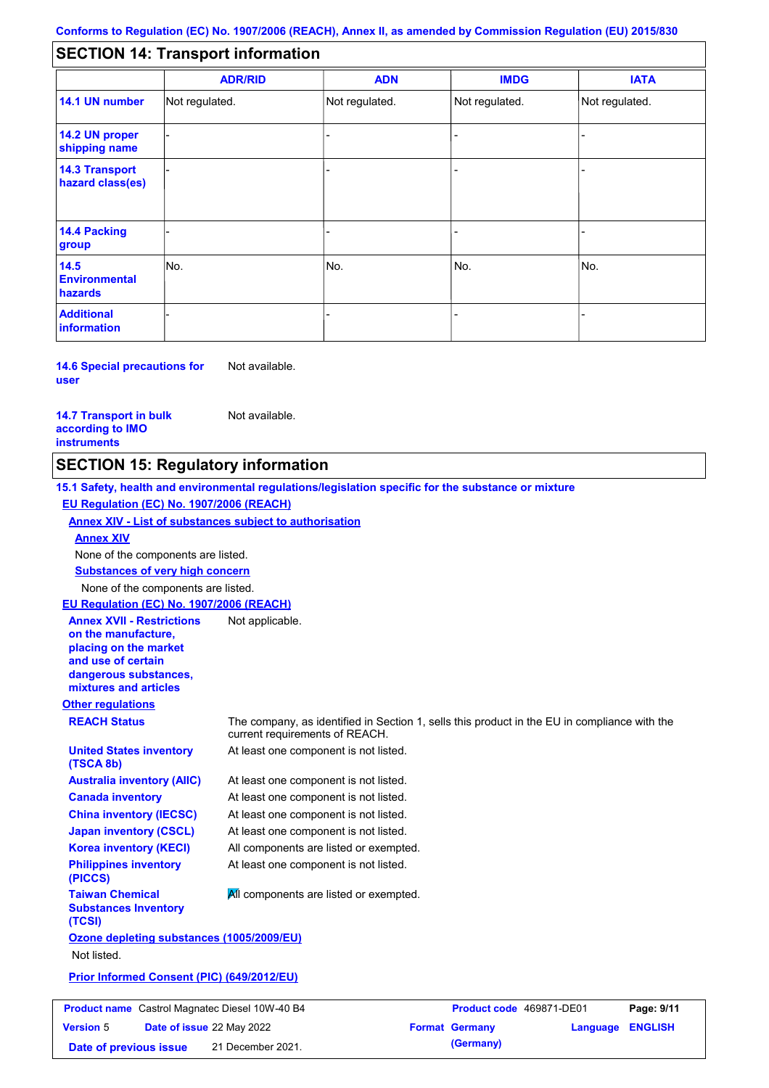#### - - - - - - - - - Not regulated. Not regulated. Not regulated. - - - **SECTION 14: Transport information ADR/RID IMDG IATA 14.1 UN number 14.2 UN proper shipping name 14.3 Transport hazard class(es) 14.4 Packing group ADN Additional information 14.5 Environmental hazards** No. 1980 | No. 1980 | No. 1980 | No. 1980 | No. 1980 | No. 1980 | No. 1980 | No. 1980 | No. 1980 | No. 1980 | Not regulated. - -<br>No. - -

**14.6 Special precautions for user** Not available.

#### **14.7 Transport in bulk according to IMO instruments**

Not available.

**Version** 5

### **SECTION 15: Regulatory information**

**Other regulations REACH Status** The company, as identified in Section 1, sells this product in the EU in compliance with the current requirements of REACH. **15.1 Safety, health and environmental regulations/legislation specific for the substance or mixture EU Regulation (EC) No. 1907/2006 (REACH) Annex XIV - List of substances subject to authorisation Substances of very high concern** None of the components are listed. At least one component is not listed. At least one component is not listed. At least one component is not listed. At least one component is not listed. At least one component is not listed. All components are listed or exempted. At least one component is not listed. **United States inventory (TSCA 8b) Australia inventory (AIIC) Canada inventory China inventory (IECSC) Japan inventory (CSCL) Korea inventory (KECI) Philippines inventory (PICCS) Taiwan Chemical Substances Inventory (TCSI) All components are listed or exempted. Ozone depleting substances (1005/2009/EU)** Not listed. **Prior Informed Consent (PIC) (649/2012/EU)** None of the components are listed. **Annex XIV EU Regulation (EC) No. 1907/2006 (REACH) Annex XVII - Restrictions on the manufacture, placing on the market and use of certain dangerous substances, mixtures and articles** Not applicable. **Product name** Castrol Magnatec Diesel 10W-40 B4 **Product Code 469871-DE01 Page: 9/11** 

**Date of issue** 22 May 2022 **Format Germany Language ENGLISH Date of previous issue** 21 December 2021. (Germany)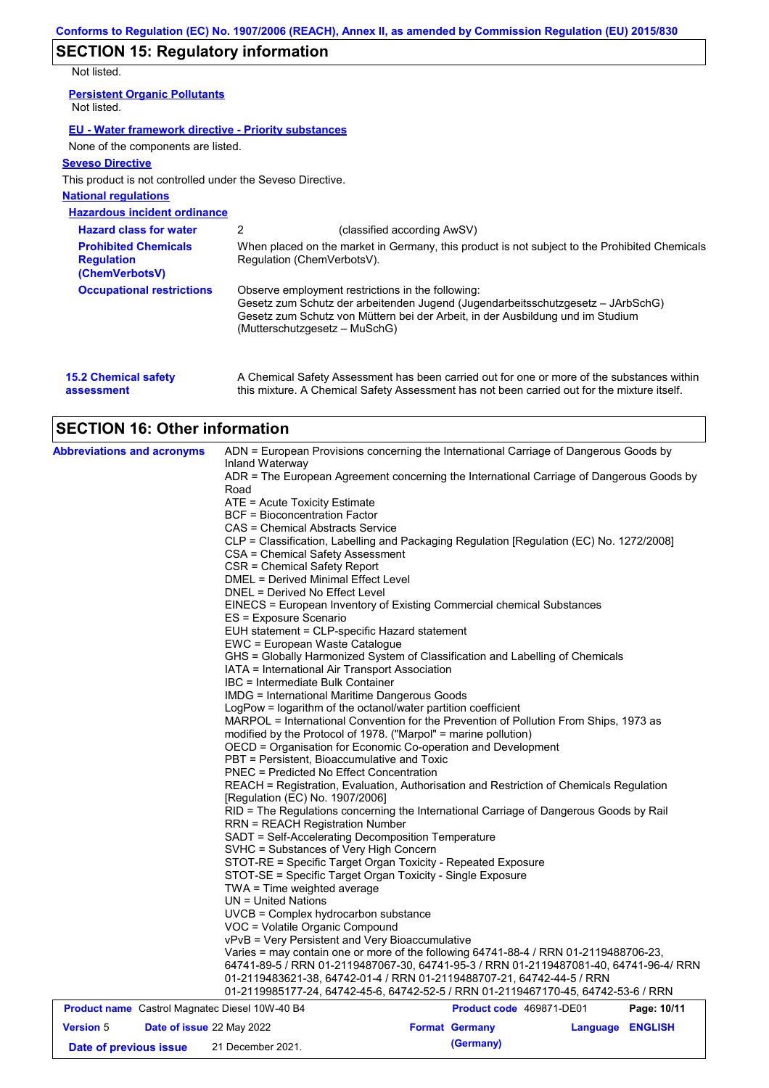# **SECTION 15: Regulatory information**

Not listed.

| IVUL IISLEU.                                                       |                               |                                                                                                                                                                                                                        |
|--------------------------------------------------------------------|-------------------------------|------------------------------------------------------------------------------------------------------------------------------------------------------------------------------------------------------------------------|
| <b>Persistent Organic Pollutants</b><br>Not listed.                |                               |                                                                                                                                                                                                                        |
| EU - Water framework directive - Priority substances               |                               |                                                                                                                                                                                                                        |
| None of the components are listed.                                 |                               |                                                                                                                                                                                                                        |
| <b>Seveso Directive</b>                                            |                               |                                                                                                                                                                                                                        |
| This product is not controlled under the Seveso Directive.         |                               |                                                                                                                                                                                                                        |
| <b>National regulations</b>                                        |                               |                                                                                                                                                                                                                        |
| <b>Hazardous incident ordinance</b>                                |                               |                                                                                                                                                                                                                        |
| <b>Hazard class for water</b>                                      | 2                             | (classified according AwSV)                                                                                                                                                                                            |
| <b>Prohibited Chemicals</b><br><b>Regulation</b><br>(ChemVerbotsV) | Regulation (ChemVerbotsV).    | When placed on the market in Germany, this product is not subject to the Prohibited Chemicals                                                                                                                          |
| <b>Occupational restrictions</b>                                   | (Mutterschutzgesetz – MuSchG) | Observe employment restrictions in the following:<br>Gesetz zum Schutz der arbeitenden Jugend (Jugendarbeitsschutzgesetz - JArbSchG)<br>Gesetz zum Schutz von Müttern bei der Arbeit, in der Ausbildung und im Studium |
|                                                                    |                               |                                                                                                                                                                                                                        |

| <b>15.2 Chemical safety</b> | A Chemical Safety Assessment has been carried out for one or more of the substances within  |
|-----------------------------|---------------------------------------------------------------------------------------------|
| assessment                  | this mixture. A Chemical Safety Assessment has not been carried out for the mixture itself. |

# **SECTION 16: Other information**

| <b>Abbreviations and acronyms</b>                                                                      | ADN = European Provisions concerning the International Carriage of Dangerous Goods by                                                                                         |                          |  |                  |  |  |
|--------------------------------------------------------------------------------------------------------|-------------------------------------------------------------------------------------------------------------------------------------------------------------------------------|--------------------------|--|------------------|--|--|
|                                                                                                        | Inland Waterway<br>ADR = The European Agreement concerning the International Carriage of Dangerous Goods by                                                                   |                          |  |                  |  |  |
|                                                                                                        | Road                                                                                                                                                                          |                          |  |                  |  |  |
|                                                                                                        | ATE = Acute Toxicity Estimate                                                                                                                                                 |                          |  |                  |  |  |
|                                                                                                        | <b>BCF</b> = Bioconcentration Factor                                                                                                                                          |                          |  |                  |  |  |
|                                                                                                        | CAS = Chemical Abstracts Service                                                                                                                                              |                          |  |                  |  |  |
|                                                                                                        | CLP = Classification, Labelling and Packaging Regulation [Regulation (EC) No. 1272/2008]                                                                                      |                          |  |                  |  |  |
|                                                                                                        | CSA = Chemical Safety Assessment                                                                                                                                              |                          |  |                  |  |  |
|                                                                                                        | CSR = Chemical Safety Report                                                                                                                                                  |                          |  |                  |  |  |
|                                                                                                        | <b>DMEL = Derived Minimal Effect Level</b>                                                                                                                                    |                          |  |                  |  |  |
|                                                                                                        | DNEL = Derived No Effect Level                                                                                                                                                |                          |  |                  |  |  |
|                                                                                                        | EINECS = European Inventory of Existing Commercial chemical Substances                                                                                                        |                          |  |                  |  |  |
|                                                                                                        | ES = Exposure Scenario                                                                                                                                                        |                          |  |                  |  |  |
|                                                                                                        | EUH statement = CLP-specific Hazard statement                                                                                                                                 |                          |  |                  |  |  |
|                                                                                                        | EWC = European Waste Catalogue<br>GHS = Globally Harmonized System of Classification and Labelling of Chemicals                                                               |                          |  |                  |  |  |
|                                                                                                        | IATA = International Air Transport Association                                                                                                                                |                          |  |                  |  |  |
|                                                                                                        | IBC = Intermediate Bulk Container                                                                                                                                             |                          |  |                  |  |  |
|                                                                                                        | <b>IMDG</b> = International Maritime Dangerous Goods                                                                                                                          |                          |  |                  |  |  |
|                                                                                                        | LogPow = logarithm of the octanol/water partition coefficient                                                                                                                 |                          |  |                  |  |  |
|                                                                                                        | MARPOL = International Convention for the Prevention of Pollution From Ships, 1973 as                                                                                         |                          |  |                  |  |  |
|                                                                                                        | modified by the Protocol of 1978. ("Marpol" = marine pollution)                                                                                                               |                          |  |                  |  |  |
|                                                                                                        | OECD = Organisation for Economic Co-operation and Development                                                                                                                 |                          |  |                  |  |  |
|                                                                                                        | PBT = Persistent, Bioaccumulative and Toxic                                                                                                                                   |                          |  |                  |  |  |
|                                                                                                        | <b>PNEC = Predicted No Effect Concentration</b>                                                                                                                               |                          |  |                  |  |  |
|                                                                                                        | REACH = Registration, Evaluation, Authorisation and Restriction of Chemicals Regulation                                                                                       |                          |  |                  |  |  |
|                                                                                                        | [Regulation (EC) No. 1907/2006]                                                                                                                                               |                          |  |                  |  |  |
|                                                                                                        | RID = The Regulations concerning the International Carriage of Dangerous Goods by Rail                                                                                        |                          |  |                  |  |  |
|                                                                                                        | <b>RRN = REACH Registration Number</b>                                                                                                                                        |                          |  |                  |  |  |
|                                                                                                        | SADT = Self-Accelerating Decomposition Temperature                                                                                                                            |                          |  |                  |  |  |
|                                                                                                        | SVHC = Substances of Very High Concern                                                                                                                                        |                          |  |                  |  |  |
|                                                                                                        | STOT-RE = Specific Target Organ Toxicity - Repeated Exposure                                                                                                                  |                          |  |                  |  |  |
|                                                                                                        | STOT-SE = Specific Target Organ Toxicity - Single Exposure                                                                                                                    |                          |  |                  |  |  |
|                                                                                                        | TWA = Time weighted average                                                                                                                                                   |                          |  |                  |  |  |
|                                                                                                        | $UN = United Nations$                                                                                                                                                         |                          |  |                  |  |  |
|                                                                                                        | UVCB = Complex hydrocarbon substance                                                                                                                                          |                          |  |                  |  |  |
|                                                                                                        | VOC = Volatile Organic Compound                                                                                                                                               |                          |  |                  |  |  |
|                                                                                                        | vPvB = Very Persistent and Very Bioaccumulative                                                                                                                               |                          |  |                  |  |  |
|                                                                                                        | Varies = may contain one or more of the following 64741-88-4 / RRN 01-2119488706-23,<br>64741-89-5 / RRN 01-2119487067-30, 64741-95-3 / RRN 01-2119487081-40, 64741-96-4/ RRN |                          |  |                  |  |  |
|                                                                                                        |                                                                                                                                                                               |                          |  |                  |  |  |
|                                                                                                        |                                                                                                                                                                               |                          |  |                  |  |  |
|                                                                                                        | 01-2119483621-38, 64742-01-4 / RRN 01-2119488707-21, 64742-44-5 / RRN                                                                                                         |                          |  |                  |  |  |
|                                                                                                        | 01-2119985177-24, 64742-45-6, 64742-52-5 / RRN 01-2119467170-45, 64742-53-6 / RRN                                                                                             | Product code 469871-DE01 |  | Page: 10/11      |  |  |
| <b>Product name</b> Castrol Magnatec Diesel 10W-40 B4<br><b>Version 5</b><br>Date of issue 22 May 2022 |                                                                                                                                                                               | <b>Format Germany</b>    |  | Language ENGLISH |  |  |